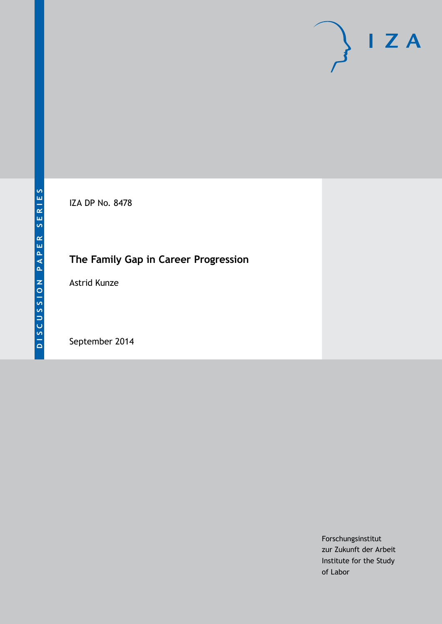

IZA DP No. 8478

# **The Family Gap in Career Progression**

Astrid Kunze

September 2014

Forschungsinstitut zur Zukunft der Arbeit Institute for the Study of Labor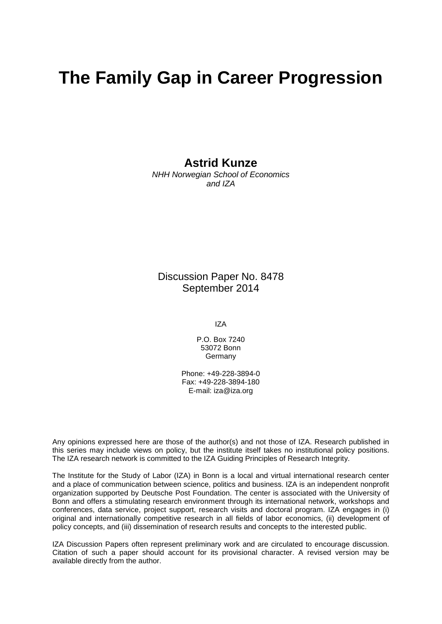# **The Family Gap in Career Progression**

# **Astrid Kunze**

*NHH Norwegian School of Economics and IZA*

Discussion Paper No. 8478 September 2014

IZA

P.O. Box 7240 53072 Bonn **Germany** 

Phone: +49-228-3894-0 Fax: +49-228-3894-180 E-mail: [iza@iza.org](mailto:iza@iza.org)

Any opinions expressed here are those of the author(s) and not those of IZA. Research published in this series may include views on policy, but the institute itself takes no institutional policy positions. The IZA research network is committed to the IZA Guiding Principles of Research Integrity.

The Institute for the Study of Labor (IZA) in Bonn is a local and virtual international research center and a place of communication between science, politics and business. IZA is an independent nonprofit organization supported by Deutsche Post Foundation. The center is associated with the University of Bonn and offers a stimulating research environment through its international network, workshops and conferences, data service, project support, research visits and doctoral program. IZA engages in (i) original and internationally competitive research in all fields of labor economics, (ii) development of policy concepts, and (iii) dissemination of research results and concepts to the interested public.

<span id="page-1-0"></span>IZA Discussion Papers often represent preliminary work and are circulated to encourage discussion. Citation of such a paper should account for its provisional character. A revised version may be available directly from the author.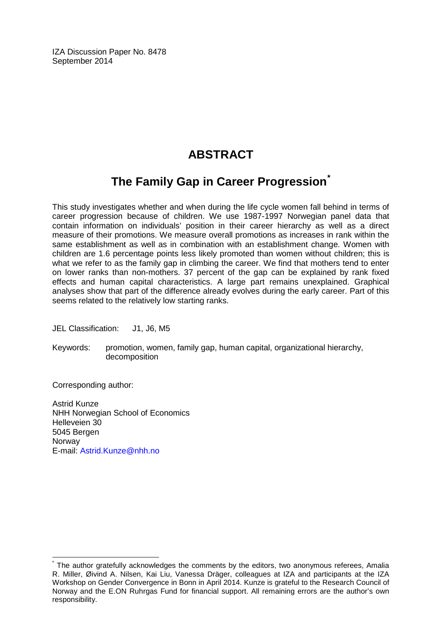IZA Discussion Paper No. 8478 September 2014

# **ABSTRACT**

# **The Family Gap in Career Progression[\\*](#page-1-0)**

This study investigates whether and when during the life cycle women fall behind in terms of career progression because of children. We use 1987-1997 Norwegian panel data that contain information on individuals' position in their career hierarchy as well as a direct measure of their promotions. We measure overall promotions as increases in rank within the same establishment as well as in combination with an establishment change. Women with children are 1.6 percentage points less likely promoted than women without children; this is what we refer to as the family gap in climbing the career. We find that mothers tend to enter on lower ranks than non-mothers. 37 percent of the gap can be explained by rank fixed effects and human capital characteristics. A large part remains unexplained. Graphical analyses show that part of the difference already evolves during the early career. Part of this seems related to the relatively low starting ranks.

JEL Classification: J1, J6, M5

Keywords: promotion, women, family gap, human capital, organizational hierarchy, decomposition

Corresponding author:

Astrid Kunze NHH Norwegian School of Economics Helleveien 30 5045 Bergen **Norway** E-mail: [Astrid.Kunze@nhh.no](mailto:Astrid.Kunze@nhh.no)

The author gratefully acknowledges the comments by the editors, two anonymous referees, Amalia R. Miller, Øivind A. Nilsen, Kai Liu, Vanessa Dräger, colleagues at IZA and participants at the IZA Workshop on Gender Convergence in Bonn in April 2014. Kunze is grateful to the Research Council of Norway and the E.ON Ruhrgas Fund for financial support. All remaining errors are the author's own responsibility.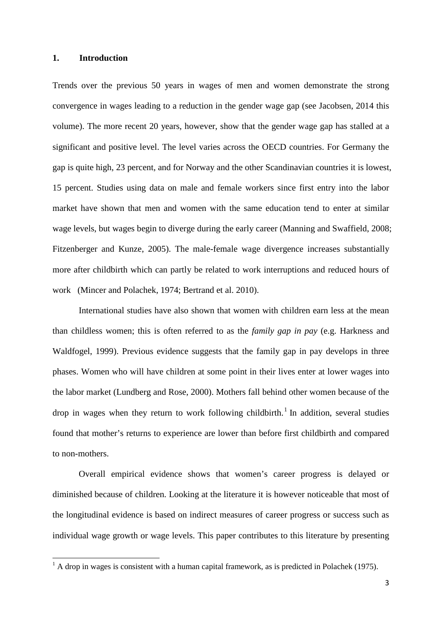## **1. Introduction**

 $\ddot{\phantom{a}}$ 

Trends over the previous 50 years in wages of men and women demonstrate the strong convergence in wages leading to a reduction in the gender wage gap (see Jacobsen, 2014 this volume). The more recent 20 years, however, show that the gender wage gap has stalled at a significant and positive level. The level varies across the OECD countries. For Germany the gap is quite high, 23 percent, and for Norway and the other Scandinavian countries it is lowest, 15 percent. Studies using data on male and female workers since first entry into the labor market have shown that men and women with the same education tend to enter at similar wage levels, but wages begin to diverge during the early career (Manning and Swaffield, 2008; Fitzenberger and Kunze, 2005). The male-female wage divergence increases substantially more after childbirth which can partly be related to work interruptions and reduced hours of work (Mincer and Polachek, 1974; Bertrand et al. 2010).

International studies have also shown that women with children earn less at the mean than childless women; this is often referred to as the *family gap in pay* (e.g. Harkness and Waldfogel, 1999). Previous evidence suggests that the family gap in pay develops in three phases. Women who will have children at some point in their lives enter at lower wages into the labor market (Lundberg and Rose, 2000). Mothers fall behind other women because of the drop in wages when they return to work following childbirth.<sup>[1](#page-3-0)</sup> In addition, several studies found that mother's returns to experience are lower than before first childbirth and compared to non-mothers.

Overall empirical evidence shows that women's career progress is delayed or diminished because of children. Looking at the literature it is however noticeable that most of the longitudinal evidence is based on indirect measures of career progress or success such as individual wage growth or wage levels. This paper contributes to this literature by presenting

<span id="page-3-0"></span> $<sup>1</sup>$  A drop in wages is consistent with a human capital framework, as is predicted in Polachek (1975).</sup>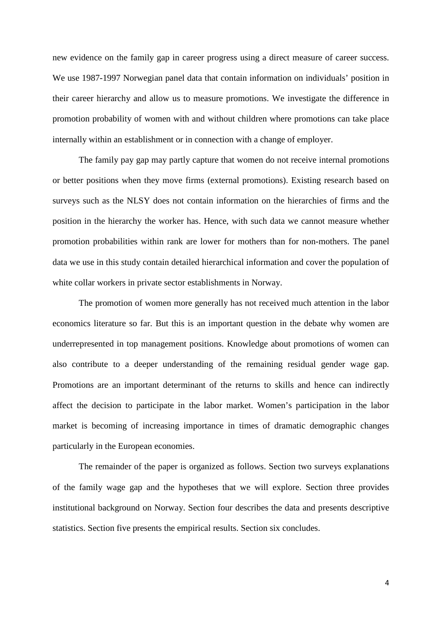new evidence on the family gap in career progress using a direct measure of career success. We use 1987-1997 Norwegian panel data that contain information on individuals' position in their career hierarchy and allow us to measure promotions. We investigate the difference in promotion probability of women with and without children where promotions can take place internally within an establishment or in connection with a change of employer.

The family pay gap may partly capture that women do not receive internal promotions or better positions when they move firms (external promotions). Existing research based on surveys such as the NLSY does not contain information on the hierarchies of firms and the position in the hierarchy the worker has. Hence, with such data we cannot measure whether promotion probabilities within rank are lower for mothers than for non-mothers. The panel data we use in this study contain detailed hierarchical information and cover the population of white collar workers in private sector establishments in Norway.

The promotion of women more generally has not received much attention in the labor economics literature so far. But this is an important question in the debate why women are underrepresented in top management positions. Knowledge about promotions of women can also contribute to a deeper understanding of the remaining residual gender wage gap. Promotions are an important determinant of the returns to skills and hence can indirectly affect the decision to participate in the labor market. Women's participation in the labor market is becoming of increasing importance in times of dramatic demographic changes particularly in the European economies.

The remainder of the paper is organized as follows. Section two surveys explanations of the family wage gap and the hypotheses that we will explore. Section three provides institutional background on Norway. Section four describes the data and presents descriptive statistics. Section five presents the empirical results. Section six concludes.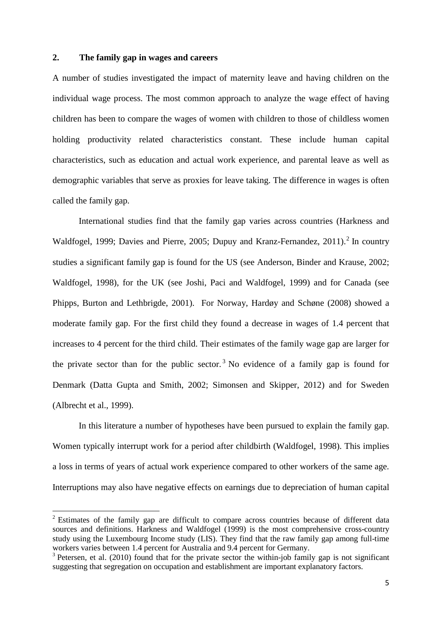## **2. The family gap in wages and careers**

A number of studies investigated the impact of maternity leave and having children on the individual wage process. The most common approach to analyze the wage effect of having children has been to compare the wages of women with children to those of childless women holding productivity related characteristics constant. These include human capital characteristics, such as education and actual work experience, and parental leave as well as demographic variables that serve as proxies for leave taking. The difference in wages is often called the family gap.

International studies find that the family gap varies across countries (Harkness and Waldfogel, 1999; Davies and Pierre, [2](#page-5-0)005; Dupuy and Kranz-Fernandez, 2011).<sup>2</sup> In country studies a significant family gap is found for the US (see Anderson, Binder and Krause, 2002; Waldfogel, 1998), for the UK (see Joshi, Paci and Waldfogel, 1999) and for Canada (see Phipps, Burton and Lethbrigde, 2001). For Norway, Hardøy and Schøne (2008) showed a moderate family gap. For the first child they found a decrease in wages of 1.4 percent that increases to 4 percent for the third child. Their estimates of the family wage gap are larger for the private sector than for the public sector.<sup>[3](#page-5-1)</sup> No evidence of a family gap is found for Denmark (Datta Gupta and Smith, 2002; Simonsen and Skipper, 2012) and for Sweden (Albrecht et al., 1999).

In this literature a number of hypotheses have been pursued to explain the family gap. Women typically interrupt work for a period after childbirth (Waldfogel, 1998). This implies a loss in terms of years of actual work experience compared to other workers of the same age. Interruptions may also have negative effects on earnings due to depreciation of human capital

 $\overline{a}$ 

<span id="page-5-0"></span><sup>&</sup>lt;sup>2</sup> Estimates of the family gap are difficult to compare across countries because of different data sources and definitions. Harkness and Waldfogel (1999) is the most comprehensive cross-country study using the Luxembourg Income study (LIS). They find that the raw family gap among full-time workers varies between 1.4 percent for Australia and 9.4 percent for Germany.

<span id="page-5-1"></span> $3$  Petersen, et al. (2010) found that for the private sector the within-job family gap is not significant suggesting that segregation on occupation and establishment are important explanatory factors.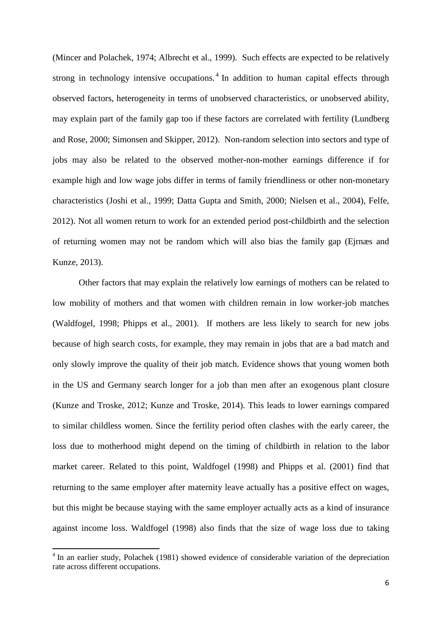(Mincer and Polachek, 1974; Albrecht et al., 1999). Such effects are expected to be relatively strong in technology intensive occupations.<sup>[4](#page-6-0)</sup> In addition to human capital effects through observed factors, heterogeneity in terms of unobserved characteristics, or unobserved ability, may explain part of the family gap too if these factors are correlated with fertility (Lundberg and Rose, 2000; Simonsen and Skipper, 2012). Non-random selection into sectors and type of jobs may also be related to the observed mother-non-mother earnings difference if for example high and low wage jobs differ in terms of family friendliness or other non-monetary characteristics (Joshi et al., 1999; Datta Gupta and Smith, 2000; Nielsen et al., 2004), Felfe, 2012). Not all women return to work for an extended period post-childbirth and the selection of returning women may not be random which will also bias the family gap (Ejrnæs and Kunze, 2013).

Other factors that may explain the relatively low earnings of mothers can be related to low mobility of mothers and that women with children remain in low worker-job matches (Waldfogel, 1998; Phipps et al., 2001). If mothers are less likely to search for new jobs because of high search costs, for example, they may remain in jobs that are a bad match and only slowly improve the quality of their job match. Evidence shows that young women both in the US and Germany search longer for a job than men after an exogenous plant closure (Kunze and Troske, 2012; Kunze and Troske, 2014). This leads to lower earnings compared to similar childless women. Since the fertility period often clashes with the early career, the loss due to motherhood might depend on the timing of childbirth in relation to the labor market career. Related to this point, Waldfogel (1998) and Phipps et al. (2001) find that returning to the same employer after maternity leave actually has a positive effect on wages, but this might be because staying with the same employer actually acts as a kind of insurance against income loss. Waldfogel (1998) also finds that the size of wage loss due to taking

 $\overline{a}$ 

<span id="page-6-0"></span><sup>&</sup>lt;sup>4</sup> In an earlier study, Polachek (1981) showed evidence of considerable variation of the depreciation rate across different occupations.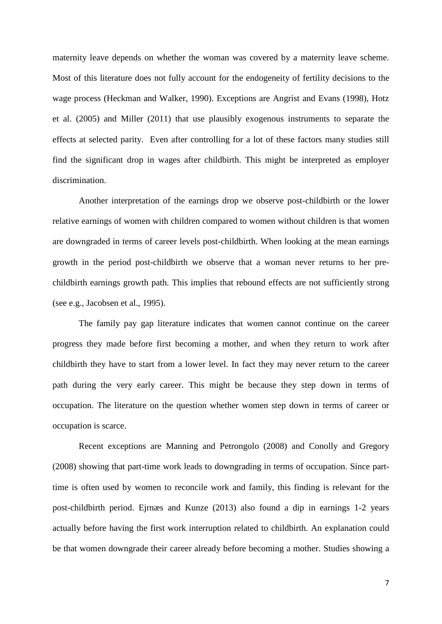maternity leave depends on whether the woman was covered by a maternity leave scheme. Most of this literature does not fully account for the endogeneity of fertility decisions to the wage process (Heckman and Walker, 1990). Exceptions are Angrist and Evans (1998), Hotz et al. (2005) and Miller (2011) that use plausibly exogenous instruments to separate the effects at selected parity. Even after controlling for a lot of these factors many studies still find the significant drop in wages after childbirth. This might be interpreted as employer discrimination.

Another interpretation of the earnings drop we observe post-childbirth or the lower relative earnings of women with children compared to women without children is that women are downgraded in terms of career levels post-childbirth. When looking at the mean earnings growth in the period post-childbirth we observe that a woman never returns to her prechildbirth earnings growth path. This implies that rebound effects are not sufficiently strong (see e.g., Jacobsen et al., 1995).

The family pay gap literature indicates that women cannot continue on the career progress they made before first becoming a mother, and when they return to work after childbirth they have to start from a lower level. In fact they may never return to the career path during the very early career. This might be because they step down in terms of occupation. The literature on the question whether women step down in terms of career or occupation is scarce.

Recent exceptions are Manning and Petrongolo (2008) and Conolly and Gregory (2008) showing that part-time work leads to downgrading in terms of occupation. Since parttime is often used by women to reconcile work and family, this finding is relevant for the post-childbirth period. Ejrnæs and Kunze (2013) also found a dip in earnings 1-2 years actually before having the first work interruption related to childbirth. An explanation could be that women downgrade their career already before becoming a mother. Studies showing a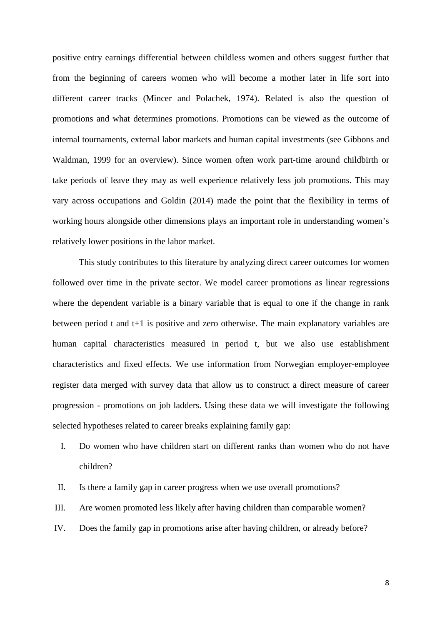positive entry earnings differential between childless women and others suggest further that from the beginning of careers women who will become a mother later in life sort into different career tracks (Mincer and Polachek, 1974). Related is also the question of promotions and what determines promotions. Promotions can be viewed as the outcome of internal tournaments, external labor markets and human capital investments (see Gibbons and Waldman, 1999 for an overview). Since women often work part-time around childbirth or take periods of leave they may as well experience relatively less job promotions. This may vary across occupations and Goldin (2014) made the point that the flexibility in terms of working hours alongside other dimensions plays an important role in understanding women's relatively lower positions in the labor market.

This study contributes to this literature by analyzing direct career outcomes for women followed over time in the private sector. We model career promotions as linear regressions where the dependent variable is a binary variable that is equal to one if the change in rank between period t and t+1 is positive and zero otherwise. The main explanatory variables are human capital characteristics measured in period t, but we also use establishment characteristics and fixed effects. We use information from Norwegian employer-employee register data merged with survey data that allow us to construct a direct measure of career progression - promotions on job ladders. Using these data we will investigate the following selected hypotheses related to career breaks explaining family gap:

- I. Do women who have children start on different ranks than women who do not have children?
- II. Is there a family gap in career progress when we use overall promotions?
- III. Are women promoted less likely after having children than comparable women?
- IV. Does the family gap in promotions arise after having children, or already before?

8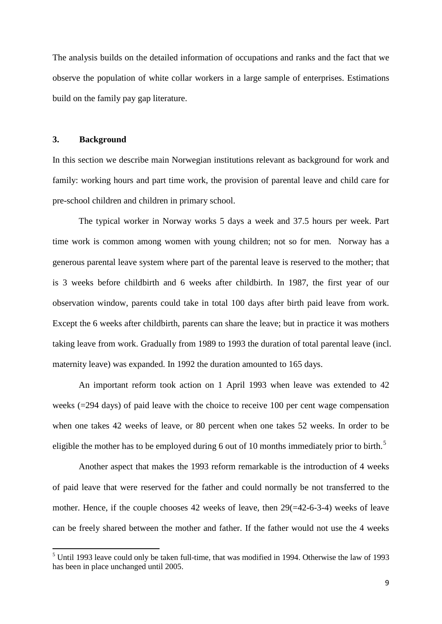The analysis builds on the detailed information of occupations and ranks and the fact that we observe the population of white collar workers in a large sample of enterprises. Estimations build on the family pay gap literature.

### **3. Background**

 $\overline{a}$ 

In this section we describe main Norwegian institutions relevant as background for work and family: working hours and part time work, the provision of parental leave and child care for pre-school children and children in primary school.

The typical worker in Norway works 5 days a week and 37.5 hours per week. Part time work is common among women with young children; not so for men. Norway has a generous parental leave system where part of the parental leave is reserved to the mother; that is 3 weeks before childbirth and 6 weeks after childbirth. In 1987, the first year of our observation window, parents could take in total 100 days after birth paid leave from work. Except the 6 weeks after childbirth, parents can share the leave; but in practice it was mothers taking leave from work. Gradually from 1989 to 1993 the duration of total parental leave (incl. maternity leave) was expanded. In 1992 the duration amounted to 165 days.

An important reform took action on 1 April 1993 when leave was extended to 42 weeks (=294 days) of paid leave with the choice to receive 100 per cent wage compensation when one takes 42 weeks of leave, or 80 percent when one takes 52 weeks. In order to be eligible the mother has to be employed during 6 out of 10 months immediately prior to birth.<sup>[5](#page-9-0)</sup>

Another aspect that makes the 1993 reform remarkable is the introduction of 4 weeks of paid leave that were reserved for the father and could normally be not transferred to the mother. Hence, if the couple chooses 42 weeks of leave, then 29(=42-6-3-4) weeks of leave can be freely shared between the mother and father. If the father would not use the 4 weeks

<span id="page-9-0"></span><sup>5</sup> Until 1993 leave could only be taken full-time, that was modified in 1994. Otherwise the law of 1993 has been in place unchanged until 2005.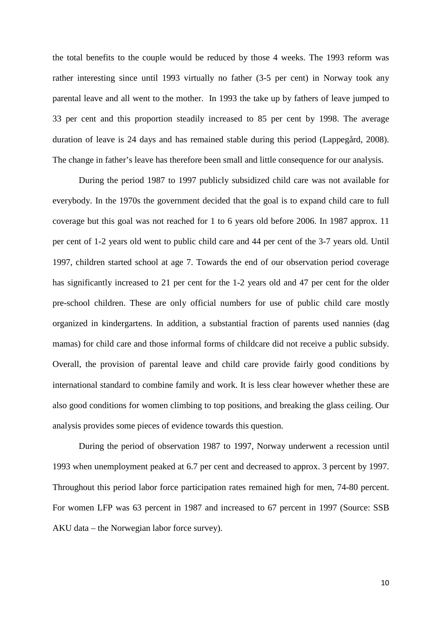the total benefits to the couple would be reduced by those 4 weeks. The 1993 reform was rather interesting since until 1993 virtually no father (3-5 per cent) in Norway took any parental leave and all went to the mother. In 1993 the take up by fathers of leave jumped to 33 per cent and this proportion steadily increased to 85 per cent by 1998. The average duration of leave is 24 days and has remained stable during this period (Lappegård, 2008). The change in father's leave has therefore been small and little consequence for our analysis.

During the period 1987 to 1997 publicly subsidized child care was not available for everybody. In the 1970s the government decided that the goal is to expand child care to full coverage but this goal was not reached for 1 to 6 years old before 2006. In 1987 approx. 11 per cent of 1-2 years old went to public child care and 44 per cent of the 3-7 years old. Until 1997, children started school at age 7. Towards the end of our observation period coverage has significantly increased to 21 per cent for the 1-2 years old and 47 per cent for the older pre-school children. These are only official numbers for use of public child care mostly organized in kindergartens. In addition, a substantial fraction of parents used nannies (dag mamas) for child care and those informal forms of childcare did not receive a public subsidy. Overall, the provision of parental leave and child care provide fairly good conditions by international standard to combine family and work. It is less clear however whether these are also good conditions for women climbing to top positions, and breaking the glass ceiling. Our analysis provides some pieces of evidence towards this question.

During the period of observation 1987 to 1997, Norway underwent a recession until 1993 when unemployment peaked at 6.7 per cent and decreased to approx. 3 percent by 1997. Throughout this period labor force participation rates remained high for men, 74-80 percent. For women LFP was 63 percent in 1987 and increased to 67 percent in 1997 (Source: SSB AKU data – the Norwegian labor force survey).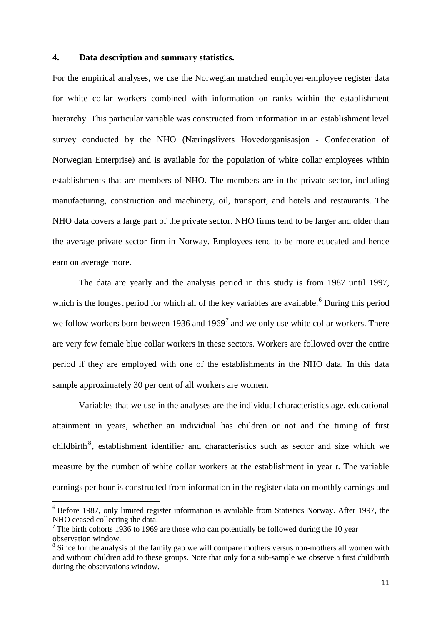# **4. Data description and summary statistics.**

For the empirical analyses, we use the Norwegian matched employer-employee register data for white collar workers combined with information on ranks within the establishment hierarchy. This particular variable was constructed from information in an establishment level survey conducted by the NHO (Næringslivets Hovedorganisasjon - Confederation of Norwegian Enterprise) and is available for the population of white collar employees within establishments that are members of NHO. The members are in the private sector, including manufacturing, construction and machinery, oil, transport, and hotels and restaurants. The NHO data covers a large part of the private sector. NHO firms tend to be larger and older than the average private sector firm in Norway. Employees tend to be more educated and hence earn on average more.

The data are yearly and the analysis period in this study is from 1987 until 1997, which is the longest period for which all of the key variables are available.<sup>[6](#page-11-0)</sup> During this period we follow workers born between 1936 and 1969<sup>[7](#page-11-1)</sup> and we only use white collar workers. There are very few female blue collar workers in these sectors. Workers are followed over the entire period if they are employed with one of the establishments in the NHO data. In this data sample approximately 30 per cent of all workers are women.

Variables that we use in the analyses are the individual characteristics age, educational attainment in years, whether an individual has children or not and the timing of first childbirth<sup>[8](#page-11-2)</sup>, establishment identifier and characteristics such as sector and size which we measure by the number of white collar workers at the establishment in year *t*. The variable earnings per hour is constructed from information in the register data on monthly earnings and

 $\overline{a}$ 

<span id="page-11-0"></span><sup>6</sup> Before 1987, only limited register information is available from Statistics Norway. After 1997, the NHO ceased collecting the data.

<span id="page-11-1"></span> $<sup>7</sup>$  The birth cohorts 1936 to 1969 are those who can potentially be followed during the 10 year</sup> observation window.

<span id="page-11-2"></span> $8$  Since for the analysis of the family gap we will compare mothers versus non-mothers all women with and without children add to these groups. Note that only for a sub-sample we observe a first childbirth during the observations window.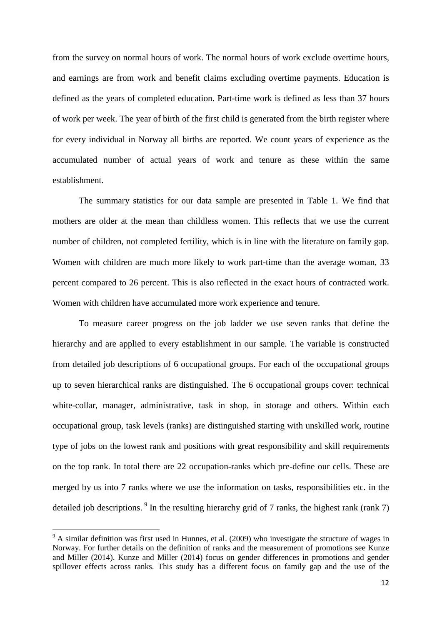from the survey on normal hours of work. The normal hours of work exclude overtime hours, and earnings are from work and benefit claims excluding overtime payments. Education is defined as the years of completed education. Part-time work is defined as less than 37 hours of work per week. The year of birth of the first child is generated from the birth register where for every individual in Norway all births are reported. We count years of experience as the accumulated number of actual years of work and tenure as these within the same establishment.

The summary statistics for our data sample are presented in Table 1. We find that mothers are older at the mean than childless women. This reflects that we use the current number of children, not completed fertility, which is in line with the literature on family gap. Women with children are much more likely to work part-time than the average woman, 33 percent compared to 26 percent. This is also reflected in the exact hours of contracted work. Women with children have accumulated more work experience and tenure.

To measure career progress on the job ladder we use seven ranks that define the hierarchy and are applied to every establishment in our sample. The variable is constructed from detailed job descriptions of 6 occupational groups. For each of the occupational groups up to seven hierarchical ranks are distinguished. The 6 occupational groups cover: technical white-collar, manager, administrative, task in shop, in storage and others. Within each occupational group, task levels (ranks) are distinguished starting with unskilled work, routine type of jobs on the lowest rank and positions with great responsibility and skill requirements on the top rank. In total there are 22 occupation-ranks which pre-define our cells. These are merged by us into 7 ranks where we use the information on tasks, responsibilities etc. in the detailed job descriptions. <sup>[9](#page-12-0)</sup> In the resulting hierarchy grid of 7 ranks, the highest rank (rank 7)

 $\overline{a}$ 

<span id="page-12-0"></span><sup>&</sup>lt;sup>9</sup> A similar definition was first used in Hunnes, et al. (2009) who investigate the structure of wages in Norway. For further details on the definition of ranks and the measurement of promotions see Kunze and Miller (2014). Kunze and Miller (2014) focus on gender differences in promotions and gender spillover effects across ranks. This study has a different focus on family gap and the use of the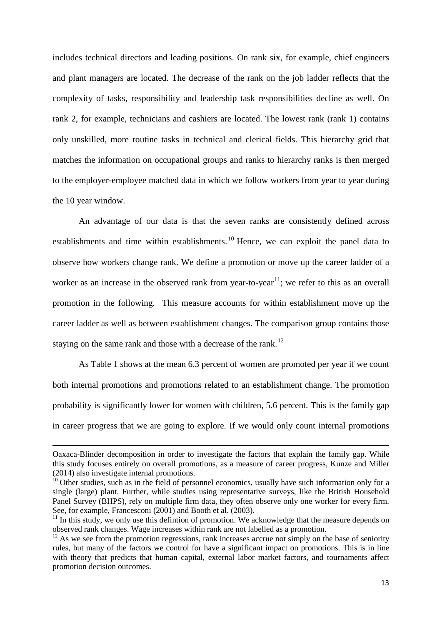includes technical directors and leading positions. On rank six, for example, chief engineers and plant managers are located. The decrease of the rank on the job ladder reflects that the complexity of tasks, responsibility and leadership task responsibilities decline as well. On rank 2, for example, technicians and cashiers are located. The lowest rank (rank 1) contains only unskilled, more routine tasks in technical and clerical fields. This hierarchy grid that matches the information on occupational groups and ranks to hierarchy ranks is then merged to the employer-employee matched data in which we follow workers from year to year during the 10 year window.

An advantage of our data is that the seven ranks are consistently defined across establishments and time within establishments. [10](#page-13-0) Hence, we can exploit the panel data to observe how workers change rank. We define a promotion or move up the career ladder of a worker as an increase in the observed rank from year-to-year<sup>11</sup>; we refer to this as an overall promotion in the following. This measure accounts for within establishment move up the career ladder as well as between establishment changes. The comparison group contains those staying on the same rank and those with a decrease of the rank.<sup>[12](#page-13-2)</sup>

As Table 1 shows at the mean 6.3 percent of women are promoted per year if we count both internal promotions and promotions related to an establishment change. The promotion probability is significantly lower for women with children, 5.6 percent. This is the family gap in career progress that we are going to explore. If we would only count internal promotions

 $\overline{\phantom{a}}$ 

Oaxaca-Blinder decomposition in order to investigate the factors that explain the family gap. While this study focuses entirely on overall promotions, as a measure of career progress, Kunze and Miller (2014) also investigate internal promotions.

<span id="page-13-0"></span><sup>&</sup>lt;sup>10</sup> Other studies, such as in the field of personnel economics, usually have such information only for a single (large) plant. Further, while studies using representative surveys, like the British Household Panel Survey (BHPS), rely on multiple firm data, they often observe only one worker for every firm. See, for example, Francesconi (2001) and Booth et al. (2003).

<span id="page-13-1"></span> $11$  In this study, we only use this defintion of promotion. We acknowledge that the measure depends on observed rank changes. Wage increases within rank are not labelled as a promotion.

<span id="page-13-2"></span> $12$  As we see from the promotion regressions, rank increases accrue not simply on the base of seniority rules, but many of the factors we control for have a significant impact on promotions. This is in line with theory that predicts that human capital, external labor market factors, and tournaments affect promotion decision outcomes.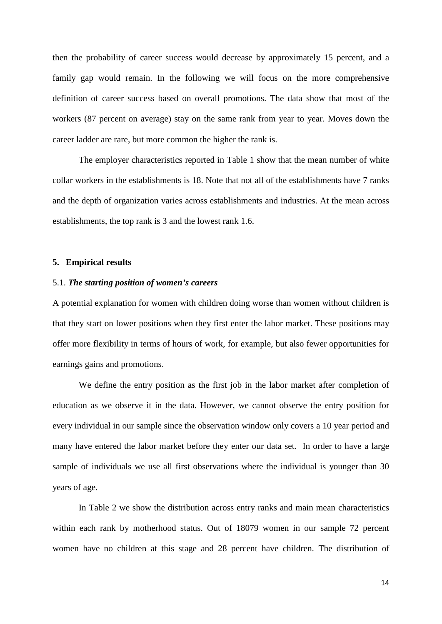then the probability of career success would decrease by approximately 15 percent, and a family gap would remain. In the following we will focus on the more comprehensive definition of career success based on overall promotions. The data show that most of the workers (87 percent on average) stay on the same rank from year to year. Moves down the career ladder are rare, but more common the higher the rank is.

The employer characteristics reported in Table 1 show that the mean number of white collar workers in the establishments is 18. Note that not all of the establishments have 7 ranks and the depth of organization varies across establishments and industries. At the mean across establishments, the top rank is 3 and the lowest rank 1.6.

#### **5. Empirical results**

#### 5.1. *The starting position of women's careers*

A potential explanation for women with children doing worse than women without children is that they start on lower positions when they first enter the labor market. These positions may offer more flexibility in terms of hours of work, for example, but also fewer opportunities for earnings gains and promotions.

We define the entry position as the first job in the labor market after completion of education as we observe it in the data. However, we cannot observe the entry position for every individual in our sample since the observation window only covers a 10 year period and many have entered the labor market before they enter our data set. In order to have a large sample of individuals we use all first observations where the individual is younger than 30 years of age.

In Table 2 we show the distribution across entry ranks and main mean characteristics within each rank by motherhood status. Out of 18079 women in our sample 72 percent women have no children at this stage and 28 percent have children. The distribution of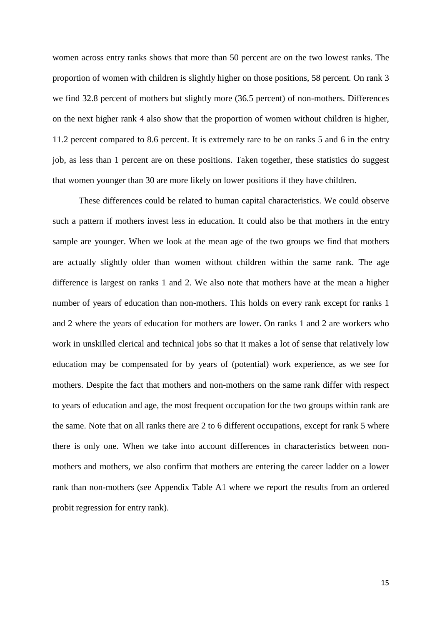women across entry ranks shows that more than 50 percent are on the two lowest ranks. The proportion of women with children is slightly higher on those positions, 58 percent. On rank 3 we find 32.8 percent of mothers but slightly more (36.5 percent) of non-mothers. Differences on the next higher rank 4 also show that the proportion of women without children is higher, 11.2 percent compared to 8.6 percent. It is extremely rare to be on ranks 5 and 6 in the entry job, as less than 1 percent are on these positions. Taken together, these statistics do suggest that women younger than 30 are more likely on lower positions if they have children.

These differences could be related to human capital characteristics. We could observe such a pattern if mothers invest less in education. It could also be that mothers in the entry sample are younger. When we look at the mean age of the two groups we find that mothers are actually slightly older than women without children within the same rank. The age difference is largest on ranks 1 and 2. We also note that mothers have at the mean a higher number of years of education than non-mothers. This holds on every rank except for ranks 1 and 2 where the years of education for mothers are lower. On ranks 1 and 2 are workers who work in unskilled clerical and technical jobs so that it makes a lot of sense that relatively low education may be compensated for by years of (potential) work experience, as we see for mothers. Despite the fact that mothers and non-mothers on the same rank differ with respect to years of education and age, the most frequent occupation for the two groups within rank are the same. Note that on all ranks there are 2 to 6 different occupations, except for rank 5 where there is only one. When we take into account differences in characteristics between nonmothers and mothers, we also confirm that mothers are entering the career ladder on a lower rank than non-mothers (see Appendix Table A1 where we report the results from an ordered probit regression for entry rank).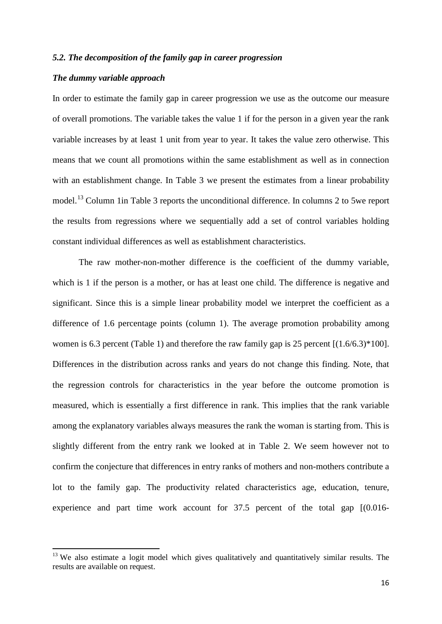#### *5.2. The decomposition of the family gap in career progression*

# *The dummy variable approach*

 $\overline{a}$ 

In order to estimate the family gap in career progression we use as the outcome our measure of overall promotions. The variable takes the value 1 if for the person in a given year the rank variable increases by at least 1 unit from year to year. It takes the value zero otherwise. This means that we count all promotions within the same establishment as well as in connection with an establishment change. In Table 3 we present the estimates from a linear probability model.<sup>[13](#page-16-0)</sup> Column 1in Table 3 reports the unconditional difference. In columns 2 to 5we report the results from regressions where we sequentially add a set of control variables holding constant individual differences as well as establishment characteristics.

The raw mother-non-mother difference is the coefficient of the dummy variable, which is 1 if the person is a mother, or has at least one child. The difference is negative and significant. Since this is a simple linear probability model we interpret the coefficient as a difference of 1.6 percentage points (column 1). The average promotion probability among women is 6.3 percent (Table 1) and therefore the raw family gap is 25 percent [ $(1.6/6.3)*100$ ]. Differences in the distribution across ranks and years do not change this finding. Note, that the regression controls for characteristics in the year before the outcome promotion is measured, which is essentially a first difference in rank. This implies that the rank variable among the explanatory variables always measures the rank the woman is starting from. This is slightly different from the entry rank we looked at in Table 2. We seem however not to confirm the conjecture that differences in entry ranks of mothers and non-mothers contribute a lot to the family gap. The productivity related characteristics age, education, tenure, experience and part time work account for 37.5 percent of the total gap  $[(0.016 -$ 

<span id="page-16-0"></span> $13$  We also estimate a logit model which gives qualitatively and quantitatively similar results. The results are available on request.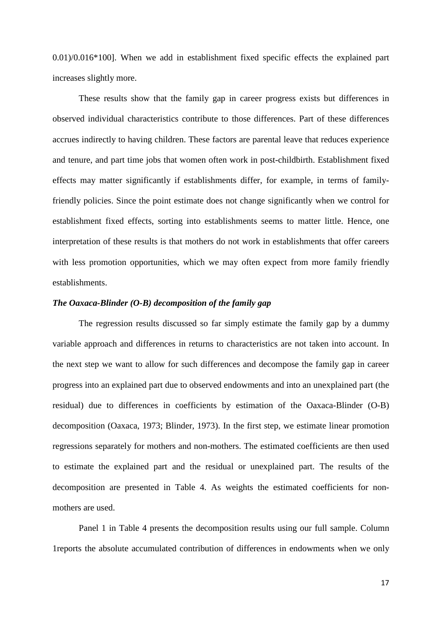0.01)/0.016\*100]. When we add in establishment fixed specific effects the explained part increases slightly more.

These results show that the family gap in career progress exists but differences in observed individual characteristics contribute to those differences. Part of these differences accrues indirectly to having children. These factors are parental leave that reduces experience and tenure, and part time jobs that women often work in post-childbirth. Establishment fixed effects may matter significantly if establishments differ, for example, in terms of familyfriendly policies. Since the point estimate does not change significantly when we control for establishment fixed effects, sorting into establishments seems to matter little. Hence, one interpretation of these results is that mothers do not work in establishments that offer careers with less promotion opportunities, which we may often expect from more family friendly establishments.

#### *The Oaxaca-Blinder (O-B) decomposition of the family gap*

The regression results discussed so far simply estimate the family gap by a dummy variable approach and differences in returns to characteristics are not taken into account. In the next step we want to allow for such differences and decompose the family gap in career progress into an explained part due to observed endowments and into an unexplained part (the residual) due to differences in coefficients by estimation of the Oaxaca-Blinder (O-B) decomposition (Oaxaca, 1973; Blinder, 1973). In the first step, we estimate linear promotion regressions separately for mothers and non-mothers. The estimated coefficients are then used to estimate the explained part and the residual or unexplained part. The results of the decomposition are presented in Table 4. As weights the estimated coefficients for nonmothers are used.

Panel 1 in Table 4 presents the decomposition results using our full sample. Column 1reports the absolute accumulated contribution of differences in endowments when we only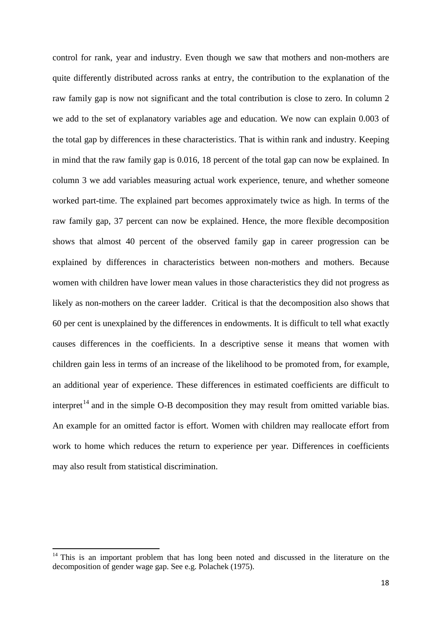control for rank, year and industry. Even though we saw that mothers and non-mothers are quite differently distributed across ranks at entry, the contribution to the explanation of the raw family gap is now not significant and the total contribution is close to zero. In column 2 we add to the set of explanatory variables age and education. We now can explain 0.003 of the total gap by differences in these characteristics. That is within rank and industry. Keeping in mind that the raw family gap is 0.016, 18 percent of the total gap can now be explained. In column 3 we add variables measuring actual work experience, tenure, and whether someone worked part-time. The explained part becomes approximately twice as high. In terms of the raw family gap, 37 percent can now be explained. Hence, the more flexible decomposition shows that almost 40 percent of the observed family gap in career progression can be explained by differences in characteristics between non-mothers and mothers. Because women with children have lower mean values in those characteristics they did not progress as likely as non-mothers on the career ladder. Critical is that the decomposition also shows that 60 per cent is unexplained by the differences in endowments. It is difficult to tell what exactly causes differences in the coefficients. In a descriptive sense it means that women with children gain less in terms of an increase of the likelihood to be promoted from, for example, an additional year of experience. These differences in estimated coefficients are difficult to interpret<sup>[14](#page-18-0)</sup> and in the simple O-B decomposition they may result from omitted variable bias. An example for an omitted factor is effort. Women with children may reallocate effort from work to home which reduces the return to experience per year. Differences in coefficients may also result from statistical discrimination.

 $\overline{a}$ 

<span id="page-18-0"></span><sup>&</sup>lt;sup>14</sup> This is an important problem that has long been noted and discussed in the literature on the decomposition of gender wage gap. See e.g. Polachek (1975).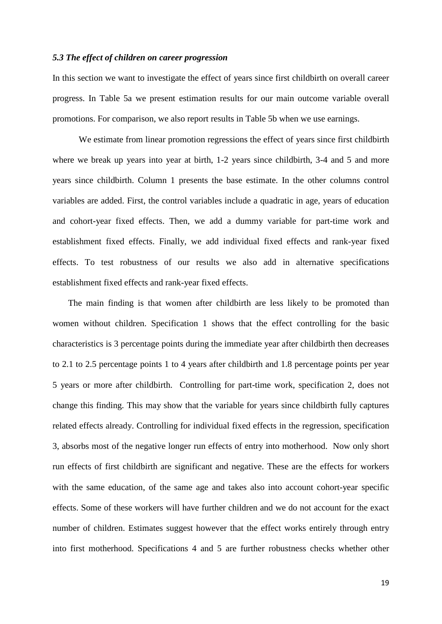#### *5.3 The effect of children on career progression*

In this section we want to investigate the effect of years since first childbirth on overall career progress. In Table 5a we present estimation results for our main outcome variable overall promotions. For comparison, we also report results in Table 5b when we use earnings.

We estimate from linear promotion regressions the effect of years since first childbirth where we break up years into year at birth, 1-2 years since childbirth, 3-4 and 5 and more years since childbirth. Column 1 presents the base estimate. In the other columns control variables are added. First, the control variables include a quadratic in age, years of education and cohort-year fixed effects. Then, we add a dummy variable for part-time work and establishment fixed effects. Finally, we add individual fixed effects and rank-year fixed effects. To test robustness of our results we also add in alternative specifications establishment fixed effects and rank-year fixed effects.

The main finding is that women after childbirth are less likely to be promoted than women without children. Specification 1 shows that the effect controlling for the basic characteristics is 3 percentage points during the immediate year after childbirth then decreases to 2.1 to 2.5 percentage points 1 to 4 years after childbirth and 1.8 percentage points per year 5 years or more after childbirth. Controlling for part-time work, specification 2, does not change this finding. This may show that the variable for years since childbirth fully captures related effects already. Controlling for individual fixed effects in the regression, specification 3, absorbs most of the negative longer run effects of entry into motherhood. Now only short run effects of first childbirth are significant and negative. These are the effects for workers with the same education, of the same age and takes also into account cohort-year specific effects. Some of these workers will have further children and we do not account for the exact number of children. Estimates suggest however that the effect works entirely through entry into first motherhood. Specifications 4 and 5 are further robustness checks whether other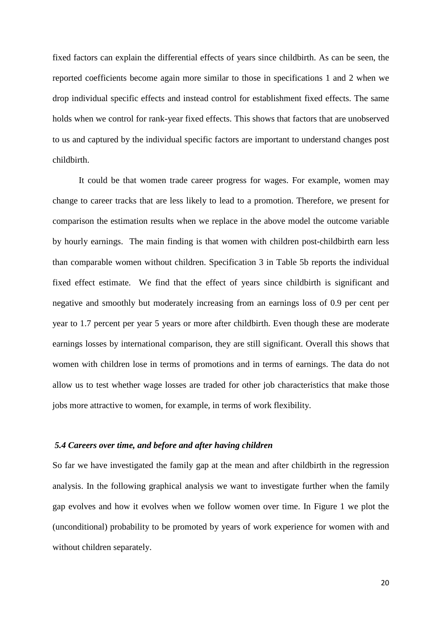fixed factors can explain the differential effects of years since childbirth. As can be seen, the reported coefficients become again more similar to those in specifications 1 and 2 when we drop individual specific effects and instead control for establishment fixed effects. The same holds when we control for rank-year fixed effects. This shows that factors that are unobserved to us and captured by the individual specific factors are important to understand changes post childbirth.

It could be that women trade career progress for wages. For example, women may change to career tracks that are less likely to lead to a promotion. Therefore, we present for comparison the estimation results when we replace in the above model the outcome variable by hourly earnings. The main finding is that women with children post-childbirth earn less than comparable women without children. Specification 3 in Table 5b reports the individual fixed effect estimate. We find that the effect of years since childbirth is significant and negative and smoothly but moderately increasing from an earnings loss of 0.9 per cent per year to 1.7 percent per year 5 years or more after childbirth. Even though these are moderate earnings losses by international comparison, they are still significant. Overall this shows that women with children lose in terms of promotions and in terms of earnings. The data do not allow us to test whether wage losses are traded for other job characteristics that make those jobs more attractive to women, for example, in terms of work flexibility.

#### *5.4 Careers over time, and before and after having children*

So far we have investigated the family gap at the mean and after childbirth in the regression analysis. In the following graphical analysis we want to investigate further when the family gap evolves and how it evolves when we follow women over time. In Figure 1 we plot the (unconditional) probability to be promoted by years of work experience for women with and without children separately.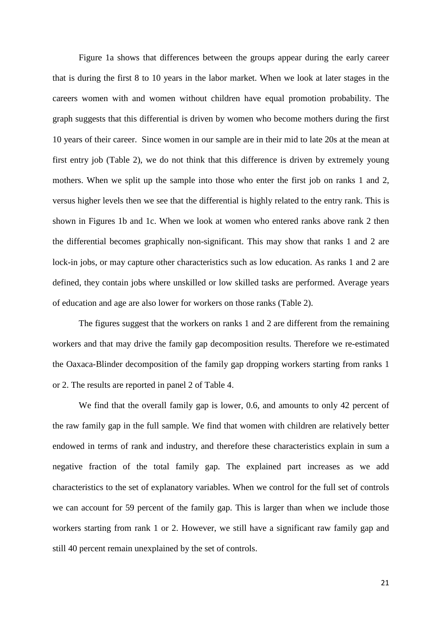Figure 1a shows that differences between the groups appear during the early career that is during the first 8 to 10 years in the labor market. When we look at later stages in the careers women with and women without children have equal promotion probability. The graph suggests that this differential is driven by women who become mothers during the first 10 years of their career. Since women in our sample are in their mid to late 20s at the mean at first entry job (Table 2), we do not think that this difference is driven by extremely young mothers. When we split up the sample into those who enter the first job on ranks 1 and 2, versus higher levels then we see that the differential is highly related to the entry rank. This is shown in Figures 1b and 1c. When we look at women who entered ranks above rank 2 then the differential becomes graphically non-significant. This may show that ranks 1 and 2 are lock-in jobs, or may capture other characteristics such as low education. As ranks 1 and 2 are defined, they contain jobs where unskilled or low skilled tasks are performed. Average years of education and age are also lower for workers on those ranks (Table 2).

The figures suggest that the workers on ranks 1 and 2 are different from the remaining workers and that may drive the family gap decomposition results. Therefore we re-estimated the Oaxaca-Blinder decomposition of the family gap dropping workers starting from ranks 1 or 2. The results are reported in panel 2 of Table 4.

We find that the overall family gap is lower, 0.6, and amounts to only 42 percent of the raw family gap in the full sample. We find that women with children are relatively better endowed in terms of rank and industry, and therefore these characteristics explain in sum a negative fraction of the total family gap. The explained part increases as we add characteristics to the set of explanatory variables. When we control for the full set of controls we can account for 59 percent of the family gap. This is larger than when we include those workers starting from rank 1 or 2. However, we still have a significant raw family gap and still 40 percent remain unexplained by the set of controls.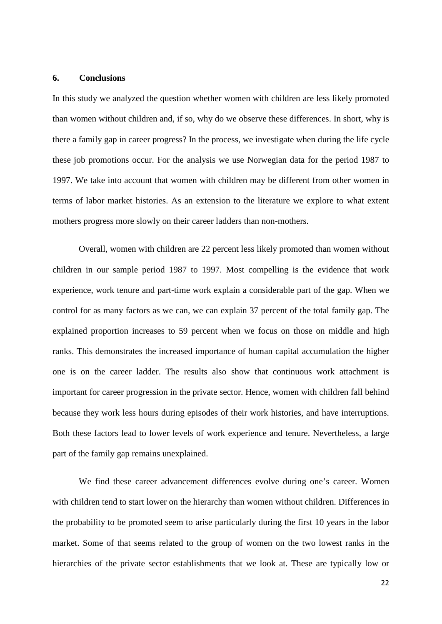## **6. Conclusions**

In this study we analyzed the question whether women with children are less likely promoted than women without children and, if so, why do we observe these differences. In short, why is there a family gap in career progress? In the process, we investigate when during the life cycle these job promotions occur. For the analysis we use Norwegian data for the period 1987 to 1997. We take into account that women with children may be different from other women in terms of labor market histories. As an extension to the literature we explore to what extent mothers progress more slowly on their career ladders than non-mothers.

Overall, women with children are 22 percent less likely promoted than women without children in our sample period 1987 to 1997. Most compelling is the evidence that work experience, work tenure and part-time work explain a considerable part of the gap. When we control for as many factors as we can, we can explain 37 percent of the total family gap. The explained proportion increases to 59 percent when we focus on those on middle and high ranks. This demonstrates the increased importance of human capital accumulation the higher one is on the career ladder. The results also show that continuous work attachment is important for career progression in the private sector. Hence, women with children fall behind because they work less hours during episodes of their work histories, and have interruptions. Both these factors lead to lower levels of work experience and tenure. Nevertheless, a large part of the family gap remains unexplained.

We find these career advancement differences evolve during one's career. Women with children tend to start lower on the hierarchy than women without children. Differences in the probability to be promoted seem to arise particularly during the first 10 years in the labor market. Some of that seems related to the group of women on the two lowest ranks in the hierarchies of the private sector establishments that we look at. These are typically low or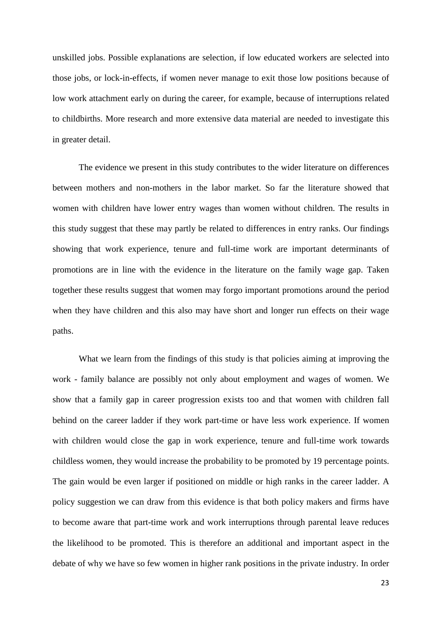unskilled jobs. Possible explanations are selection, if low educated workers are selected into those jobs, or lock-in-effects, if women never manage to exit those low positions because of low work attachment early on during the career, for example, because of interruptions related to childbirths. More research and more extensive data material are needed to investigate this in greater detail.

The evidence we present in this study contributes to the wider literature on differences between mothers and non-mothers in the labor market. So far the literature showed that women with children have lower entry wages than women without children. The results in this study suggest that these may partly be related to differences in entry ranks. Our findings showing that work experience, tenure and full-time work are important determinants of promotions are in line with the evidence in the literature on the family wage gap. Taken together these results suggest that women may forgo important promotions around the period when they have children and this also may have short and longer run effects on their wage paths.

What we learn from the findings of this study is that policies aiming at improving the work - family balance are possibly not only about employment and wages of women. We show that a family gap in career progression exists too and that women with children fall behind on the career ladder if they work part-time or have less work experience. If women with children would close the gap in work experience, tenure and full-time work towards childless women, they would increase the probability to be promoted by 19 percentage points. The gain would be even larger if positioned on middle or high ranks in the career ladder. A policy suggestion we can draw from this evidence is that both policy makers and firms have to become aware that part-time work and work interruptions through parental leave reduces the likelihood to be promoted. This is therefore an additional and important aspect in the debate of why we have so few women in higher rank positions in the private industry. In order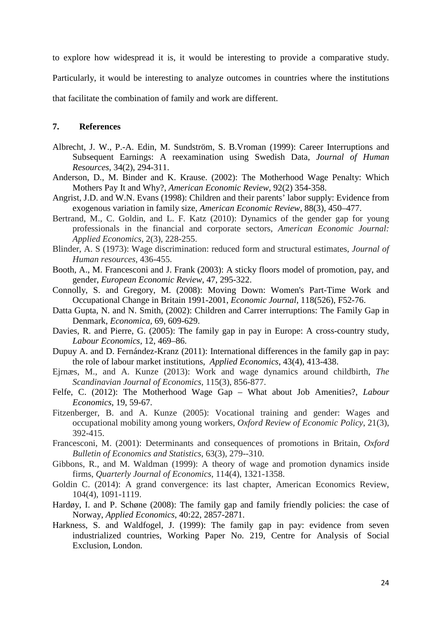to explore how widespread it is, it would be interesting to provide a comparative study.

Particularly, it would be interesting to analyze outcomes in countries where the institutions

that facilitate the combination of family and work are different.

## **7. References**

- Albrecht, J. W., P.-A. Edin, M. Sundström, S. B.Vroman (1999): Career Interruptions and Subsequent Earnings: A reexamination using Swedish Data*, Journal of Human Resources*, 34(2), 294-311.
- Anderson, D., M. Binder and K. Krause. (2002): The Motherhood Wage Penalty: Which Mothers Pay It and Why?, *American Economic Review*, 92(2) 354-358.
- Angrist, J.D. and W.N. Evans (1998): Children and their parents' labor supply: Evidence from exogenous variation in family size, *American Economic Review*, 88(3), 450–477.
- Bertrand, M., C. Goldin, and L. F. Katz (2010): Dynamics of the gender gap for young professionals in the financial and corporate sectors, *American Economic Journal: Applied Economics*, 2(3), 228-255.
- Blinder, A. S (1973): Wage discrimination: reduced form and structural estimates, *Journal of Human resources*, 436-455.
- Booth, A., M. Francesconi and J. Frank (2003): A sticky floors model of promotion, pay, and gender, *European Economic Review*, 47, 295-322.
- Connolly, S. and Gregory, M. (2008): Moving Down: Women's Part-Time Work and Occupational Change in Britain 1991-2001, *Economic Journal*, 118(526), F52-76.
- Datta Gupta, N. and N. Smith, (2002): Children and Carrer interruptions: The Family Gap in Denmark, *Economica*, 69, 609-629.
- Davies, R. and Pierre, G. (2005): The family gap in pay in Europe: A cross-country study, *Labour Economics*, 12, 469–86.
- Dupuy A. and D. Fernández-Kranz (2011): International differences in the family gap in pay: the role of labour market institutions, *Applied Economics*, 43(4), 413-438.
- Ejrnæs, M., and A. Kunze (2013): Work and wage dynamics around childbirth, *The Scandinavian Journal of Economics*, 115(3), 856-877.
- Felfe, C. (2012): The Motherhood Wage Gap What about Job Amenities?, *Labour Economics*, 19, 59-67.
- Fitzenberger, B. and A. Kunze (2005): Vocational training and gender: Wages and occupational mobility among young workers, *Oxford Review of Economic Policy*, 21(3), 392-415.
- Francesconi, M. (2001): Determinants and consequences of promotions in Britain, *Oxford Bulletin of Economics and Statistics*, 63(3), 279--310.
- Gibbons, R., and M. Waldman (1999): A theory of wage and promotion dynamics inside firms, *Quarterly Journal of Economics*, 114(4), 1321-1358.
- Goldin C. (2014): A grand convergence: its last chapter, American Economics Review, 104(4), 1091-1119.
- Hardøy, I. and P. Schøne (2008): The family gap and family friendly policies: the case of Norway, *Applied Economics*, 40:22, 2857-2871.
- Harkness, S. and Waldfogel, J. (1999): The family gap in pay: evidence from seven industrialized countries, Working Paper No. 219, Centre for Analysis of Social Exclusion, London.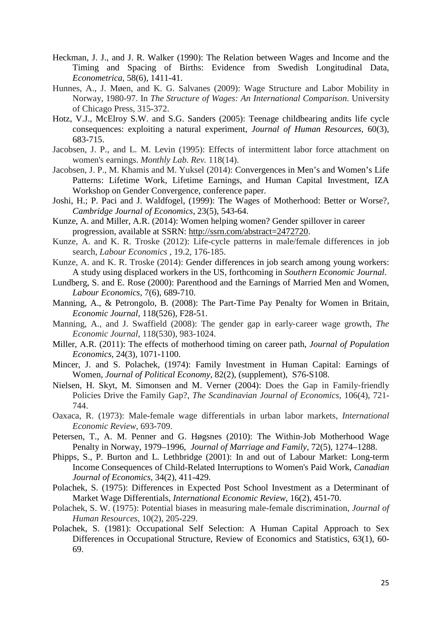- Heckman, J. J., and J. R. Walker (1990): The Relation between Wages and Income and the Timing and Spacing of Births: Evidence from Swedish Longitudinal Data, *Econometrica*, 58(6), 1411-41.
- Hunnes, A., J. Møen, and K. G. Salvanes (2009): Wage Structure and Labor Mobility in Norway, 1980-97. In *The Structure of Wages: An International Comparison*. University of Chicago Press, 315-372.
- Hotz, V.J., McElroy S.W. and S.G. Sanders (2005): Teenage childbearing andits life cycle consequences: exploiting a natural experiment, *Journal of Human Resources*, 60(3), 683-715.
- Jacobsen, J. P., and L. M. Levin (1995): Effects of intermittent labor force attachment on women's earnings. *Monthly Lab. Rev.* 118(14).
- Jacobsen, J. P., M. Khamis and M. Yuksel (2014): Convergences in Men's and Women's Life Patterns: Lifetime Work, Lifetime Earnings, and Human Capital Investment, IZA Workshop on Gender Convergence, conference paper.
- Joshi, H.; P. Paci and J. Waldfogel, (1999): The Wages of Motherhood: Better or Worse?, *Cambridge Journal of Economics*, 23(5), 543-64.
- Kunze, A. and Miller, A.R. (2014): Women helping women? Gender spillover in career progression, available at SSRN: [http://ssrn.com/abstract=2472720.](http://ssrn.com/abstract=2472720)
- Kunze, A. and K. R. Troske (2012): Life-cycle patterns in male/female differences in job search, *Labour Economics* , 19.2, 176-185.
- Kunze, A. and K. R. Troske (2014): Gender differences in job search among young workers: A study using displaced workers in the US, forthcoming in *Southern Economic Journal*.
- Lundberg, S. and E. Rose (2000): Parenthood and the Earnings of Married Men and Women, *Labour Economics*, 7(6), 689-710.
- Manning, A., & Petrongolo, B. (2008): The Part-Time Pay Penalty for Women in Britain, *Economic Journal*, 118(526), F28-51.
- Manning, A., and J. Swaffield (2008): The gender gap in early‐career wage growth, *The Economic Journal*, 118(530), 983-1024.
- Miller, A.R. (2011): The effects of motherhood timing on career path, *Journal of Population Economics*, 24(3), 1071-1100.
- Mincer, J. and S. Polachek, (1974): Family Investment in Human Capital: Earnings of Women, *Journal of Political Economy*, 82(2), (supplement), S76-S108.
- Nielsen, H. Skyt, M. Simonsen and M. Verner (2004): Does the Gap in Family‐friendly Policies Drive the Family Gap?, *The Scandinavian Journal of Economics*, 106(4), 721- 744.
- Oaxaca, R. (1973): Male-female wage differentials in urban labor markets, *International Economic Review*, 693-709.
- Petersen, T., A. M. Penner and G. Høgsnes (2010): The Within‐Job Motherhood Wage Penalty in Norway, 1979–1996, *Journal of Marriage and Family*, 72(5), 1274–1288.
- Phipps, S., P. Burton and L. Lethbridge (2001): In and out of Labour Market: Long-term Income Consequences of Child-Related Interruptions to Women's Paid Work, *Canadian Journal of Economics*, 34(2), 411-429.
- Polachek, S. (1975): Differences in Expected Post School Investment as a Determinant of Market Wage Differentials, *International Economic Review*, 16(2), 451-70.
- Polachek, S. W. (1975): Potential biases in measuring male-female discrimination, *Journal of Human Resources*, 10(2), 205-229.
- Polachek, S. (1981): Occupational Self Selection: A Human Capital Approach to Sex Differences in Occupational Structure, Review of Economics and Statistics, 63(1), 60- 69.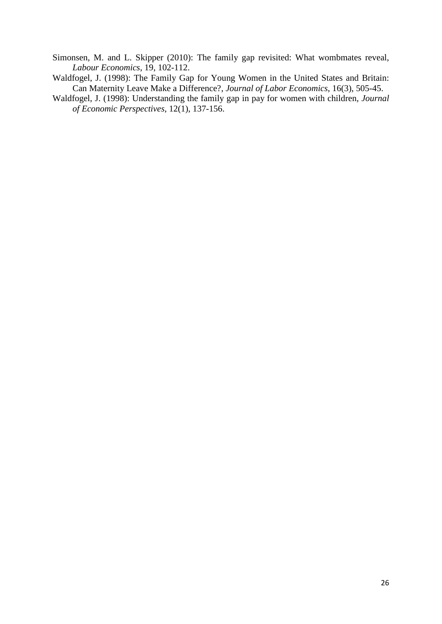- Simonsen, M. and L. Skipper (2010): The family gap revisited: What wombmates reveal, *Labour Economics*, 19, 102-112.
- Waldfogel, J. (1998): The Family Gap for Young Women in the United States and Britain: Can Maternity Leave Make a Difference?, *Journal of Labor Economics*, 16(3), 505-45.
- Waldfogel, J. (1998): Understanding the family gap in pay for women with children, *Journal of Economic Perspectives*, 12(1), 137-156.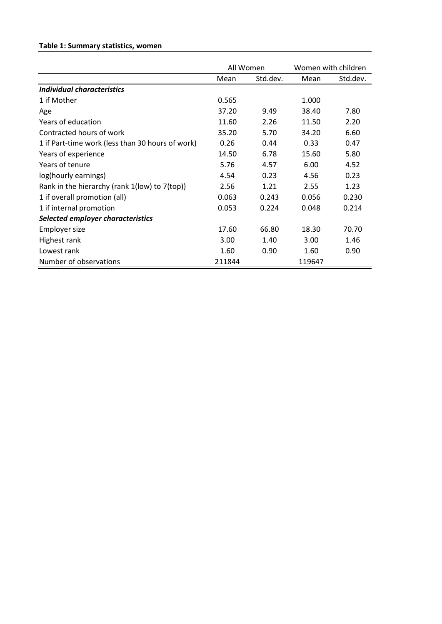# **Table 1: Summary statistics, women**

|                                                  | All Women |          | Women with children |          |
|--------------------------------------------------|-----------|----------|---------------------|----------|
|                                                  | Mean      | Std.dev. | Mean                | Std.dev. |
| Individual characteristics                       |           |          |                     |          |
| 1 if Mother                                      | 0.565     |          | 1.000               |          |
| Age                                              | 37.20     | 9.49     | 38.40               | 7.80     |
| Years of education                               | 11.60     | 2.26     | 11.50               | 2.20     |
| Contracted hours of work                         | 35.20     | 5.70     | 34.20               | 6.60     |
| 1 if Part-time work (less than 30 hours of work) | 0.26      | 0.44     | 0.33                | 0.47     |
| Years of experience                              | 14.50     | 6.78     | 15.60               | 5.80     |
| Years of tenure                                  | 5.76      | 4.57     | 6.00                | 4.52     |
| log(hourly earnings)                             | 4.54      | 0.23     | 4.56                | 0.23     |
| Rank in the hierarchy (rank 1(low) to 7(top))    | 2.56      | 1.21     | 2.55                | 1.23     |
| 1 if overall promotion (all)                     | 0.063     | 0.243    | 0.056               | 0.230    |
| 1 if internal promotion                          | 0.053     | 0.224    | 0.048               | 0.214    |
| Selected employer characteristics                |           |          |                     |          |
| Employer size                                    | 17.60     | 66.80    | 18.30               | 70.70    |
| Highest rank                                     | 3.00      | 1.40     | 3.00                | 1.46     |
| Lowest rank                                      | 1.60      | 0.90     | 1.60                | 0.90     |
| Number of observations                           | 211844    |          | 119647              |          |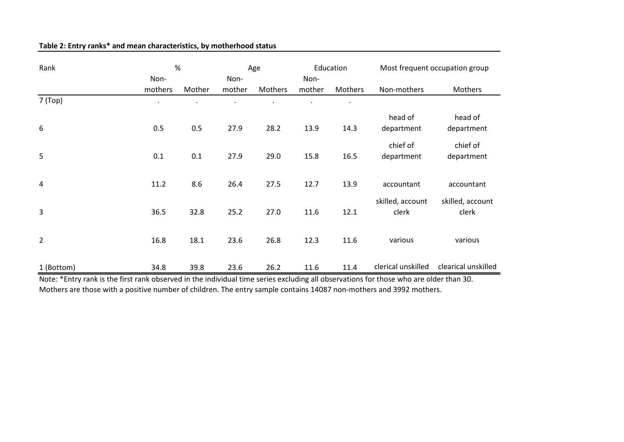| Rank            |                 | $\%$   |                | Education<br>Age |                | Most frequent occupation group |                           |                           |  |  |
|-----------------|-----------------|--------|----------------|------------------|----------------|--------------------------------|---------------------------|---------------------------|--|--|
|                 | Non-<br>mothers | Mother | Non-<br>mother | Mothers          | Non-<br>mother | Mothers                        | Non-mothers               | Mothers                   |  |  |
| $7$ (Top)       | $\cdot$         |        |                |                  |                |                                |                           |                           |  |  |
| 6               | 0.5             | 0.5    | 27.9           | 28.2             | 13.9           | 14.3                           | head of<br>department     | head of<br>department     |  |  |
| $5\phantom{.0}$ | 0.1             | 0.1    | 27.9           | 29.0             | 15.8           | 16.5                           | chief of<br>department    | chief of<br>department    |  |  |
| $\overline{4}$  | 11.2            | 8.6    | 26.4           | 27.5             | 12.7           | 13.9                           | accountant                | accountant                |  |  |
| 3               | 36.5            | 32.8   | 25.2           | 27.0             | 11.6           | 12.1                           | skilled, account<br>clerk | skilled, account<br>clerk |  |  |
| $\overline{2}$  | 16.8            | 18.1   | 23.6           | 26.8             | 12.3           | 11.6                           | various                   | various                   |  |  |
| 1 (Bottom)      | 34.8            | 39.8   | 23.6           | 26.2             | 11.6           | 11.4                           | clerical unskilled        | clearical unskilled       |  |  |

## **Table 2: Entry ranks\* and mean characteristics, by motherhood status**

Note: \*Entry rank is the first rank observed in the individual time series excluding all observations for those who are older than 30. Mothers are those with a positive number of children. The entry sample contains 14087 non-mothers and 3992 mothers.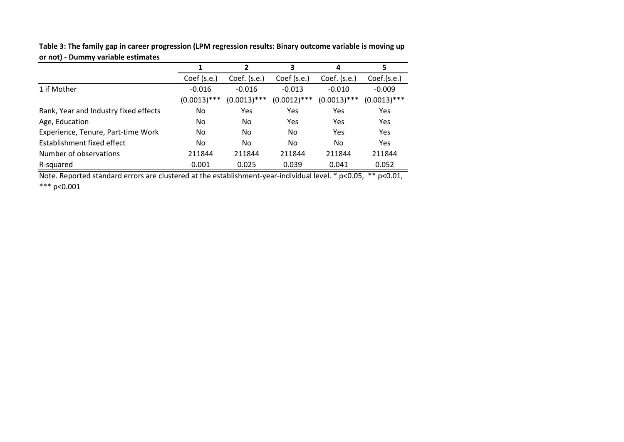|                                       |                | 2              | 3              | 4              | 5              |
|---------------------------------------|----------------|----------------|----------------|----------------|----------------|
|                                       | Coef (s.e.)    | Coef. $(s.e.)$ | Coef $(s.e.)$  | Coef. $(s.e.)$ | Coef.(s.e.)    |
| 1 if Mother                           | $-0.016$       | $-0.016$       | $-0.013$       | $-0.010$       | $-0.009$       |
|                                       | $(0.0013)$ *** | $(0.0013)$ *** | $(0.0012)$ *** | $(0.0013)$ *** | $(0.0013)$ *** |
| Rank, Year and Industry fixed effects | No             | Yes            | Yes            | Yes            | Yes            |
| Age, Education                        | No             | No.            | Yes            | Yes            | Yes            |
| Experience, Tenure, Part-time Work    | No             | No             | No.            | Yes            | Yes            |
| Establishment fixed effect            | No             | <b>No</b>      | No.            | No.            | Yes            |
| Number of observations                | 211844         | 211844         | 211844         | 211844         | 211844         |
| R-squared                             | 0.001          | 0.025          | 0.039          | 0.041          | 0.052          |

**Table 3: The family gap in career progression (LPM regression results: Binary outcome variable is moving up or not) - Dummy variable estimates**  $\overline{\phantom{0}}$ 

Note. Reported standard errors are clustered at the establishment-year-individual level. \* p<0.05, \*\* p<0.01, \*\*\* p<0.001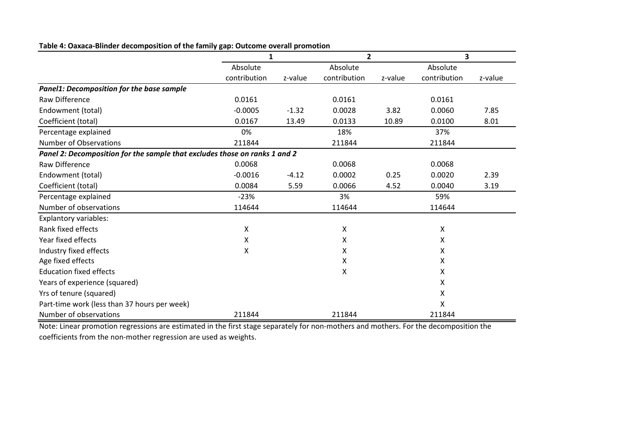| Table 4: Oaxaca-Blinder decomposition of the family gap: Outcome overall promotion |          |          |          |
|------------------------------------------------------------------------------------|----------|----------|----------|
|                                                                                    |          |          |          |
|                                                                                    | Absolute | Absolute | Absolute |

|                                                                            | Absolute                  |         | Absolute     |         | Absolute     |         |
|----------------------------------------------------------------------------|---------------------------|---------|--------------|---------|--------------|---------|
|                                                                            | contribution              | z-value | contribution | z-value | contribution | z-value |
| <b>Panel1: Decomposition for the base sample</b>                           |                           |         |              |         |              |         |
| <b>Raw Difference</b>                                                      | 0.0161                    |         | 0.0161       |         | 0.0161       |         |
| Endowment (total)                                                          | $-0.0005$                 | $-1.32$ | 0.0028       | 3.82    | 0.0060       | 7.85    |
| Coefficient (total)                                                        | 0.0167                    | 13.49   | 0.0133       | 10.89   | 0.0100       | 8.01    |
| Percentage explained                                                       | 0%                        |         | 18%          |         | 37%          |         |
| <b>Number of Observations</b>                                              | 211844                    |         | 211844       |         | 211844       |         |
| Panel 2: Decomposition for the sample that excludes those on ranks 1 and 2 |                           |         |              |         |              |         |
| <b>Raw Difference</b>                                                      | 0.0068                    |         | 0.0068       |         | 0.0068       |         |
| Endowment (total)                                                          | $-0.0016$                 | $-4.12$ | 0.0002       | 0.25    | 0.0020       | 2.39    |
| Coefficient (total)                                                        | 0.0084                    | 5.59    | 0.0066       | 4.52    | 0.0040       | 3.19    |
| Percentage explained                                                       | $-23%$                    |         | 3%           |         | 59%          |         |
| Number of observations                                                     | 114644                    |         | 114644       |         | 114644       |         |
| <b>Explantory variables:</b>                                               |                           |         |              |         |              |         |
| Rank fixed effects                                                         | $\boldsymbol{\mathsf{X}}$ |         | X            |         | Χ            |         |
| Year fixed effects                                                         | X                         |         | Χ            |         | x            |         |
| Industry fixed effects                                                     | X                         |         | x            |         | Χ            |         |
| Age fixed effects                                                          |                           |         | X            |         | Χ            |         |
| <b>Education fixed effects</b>                                             |                           |         | X            |         | X            |         |
| Years of experience (squared)                                              |                           |         |              |         | x            |         |
| Yrs of tenure (squared)                                                    |                           |         |              |         | x            |         |
| Part-time work (less than 37 hours per week)                               |                           |         |              |         | Χ            |         |
| Number of observations                                                     | 211844                    |         | 211844       |         | 211844       |         |

Note: Linear promotion regressions are estimated in the first stage separately for non-mothers and mothers. For the decomposition the coefficients from the non-mother regression are used as weights.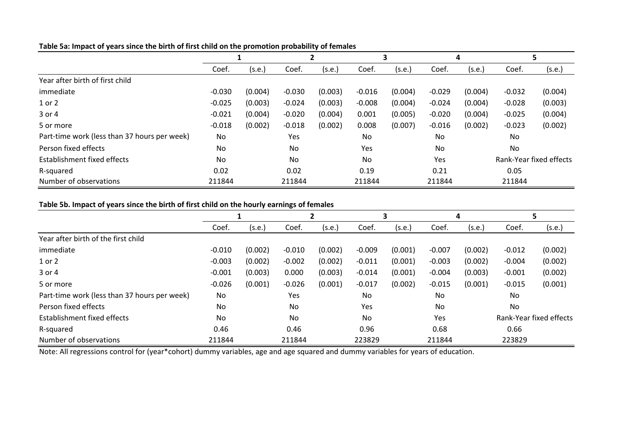|                                              |          |         |          |         |          | 3       |          | 4       |           |                         |
|----------------------------------------------|----------|---------|----------|---------|----------|---------|----------|---------|-----------|-------------------------|
|                                              | Coef.    | (s.e.)  | Coef.    | (s.e.)  | Coef.    | (s.e.)  | Coef.    | (s.e.)  | Coef.     | (s.e.)                  |
| Year after birth of first child              |          |         |          |         |          |         |          |         |           |                         |
| immediate                                    | $-0.030$ | (0.004) | $-0.030$ | (0.003) | $-0.016$ | (0.004) | $-0.029$ | (0.004) | $-0.032$  | (0.004)                 |
| 1 or 2                                       | $-0.025$ | (0.003) | $-0.024$ | (0.003) | $-0.008$ | (0.004) | $-0.024$ | (0.004) | $-0.028$  | (0.003)                 |
| 3 or 4                                       | $-0.021$ | (0.004) | $-0.020$ | (0.004) | 0.001    | (0.005) | $-0.020$ | (0.004) | $-0.025$  | (0.004)                 |
| 5 or more                                    | $-0.018$ | (0.002) | $-0.018$ | (0.002) | 0.008    | (0.007) | $-0.016$ | (0.002) | $-0.023$  | (0.002)                 |
| Part-time work (less than 37 hours per week) | No       |         | Yes      |         | No       |         | No       |         | <b>No</b> |                         |
| Person fixed effects                         | No       |         | No       |         | Yes      |         | No       |         | <b>No</b> |                         |
| Establishment fixed effects                  | No       |         | No       |         | No       |         | Yes      |         |           | Rank-Year fixed effects |
| R-squared                                    | 0.02     |         | 0.02     |         | 0.19     |         | 0.21     |         | 0.05      |                         |
| Number of observations                       | 211844   |         | 211844   |         | 211844   |         | 211844   |         | 211844    |                         |

# **Table 5a: Impact of years since the birth of first child on the promotion probability of females**

# **Table 5b. Impact of years since the birth of first child on the hourly earnings of females**

|                                              |           |         |          |         |          | 3       |          | 4       |           | э                       |
|----------------------------------------------|-----------|---------|----------|---------|----------|---------|----------|---------|-----------|-------------------------|
|                                              | Coef.     | (s.e.)  | Coef.    | (s.e.)  | Coef.    | (s.e.)  | Coef.    | (s.e.)  | Coef.     | (s.e.)                  |
| Year after birth of the first child          |           |         |          |         |          |         |          |         |           |                         |
| immediate                                    | $-0.010$  | (0.002) | $-0.010$ | (0.002) | $-0.009$ | (0.001) | $-0.007$ | (0.002) | $-0.012$  | (0.002)                 |
| 1 or 2                                       | $-0.003$  | (0.002) | $-0.002$ | (0.002) | $-0.011$ | (0.001) | $-0.003$ | (0.002) | $-0.004$  | (0.002)                 |
| 3 or 4                                       | $-0.001$  | (0.003) | 0.000    | (0.003) | $-0.014$ | (0.001) | $-0.004$ | (0.003) | $-0.001$  | (0.002)                 |
| 5 or more                                    | $-0.026$  | (0.001) | $-0.026$ | (0.001) | $-0.017$ | (0.002) | $-0.015$ | (0.001) | $-0.015$  | (0.001)                 |
| Part-time work (less than 37 hours per week) | No        |         | Yes      |         | No       |         | No       |         | <b>No</b> |                         |
| Person fixed effects                         | No        |         | No       |         | Yes      |         | No       |         | <b>No</b> |                         |
| Establishment fixed effects                  | <b>No</b> |         | No       |         | No       |         | Yes      |         |           | Rank-Year fixed effects |
| R-squared                                    | 0.46      |         | 0.46     |         | 0.96     |         | 0.68     |         | 0.66      |                         |
| Number of observations                       | 211844    |         | 211844   |         | 223829   |         | 211844   |         | 223829    |                         |

Note: All regressions control for (year\*cohort) dummy variables, age and age squared and dummy variables for years of education.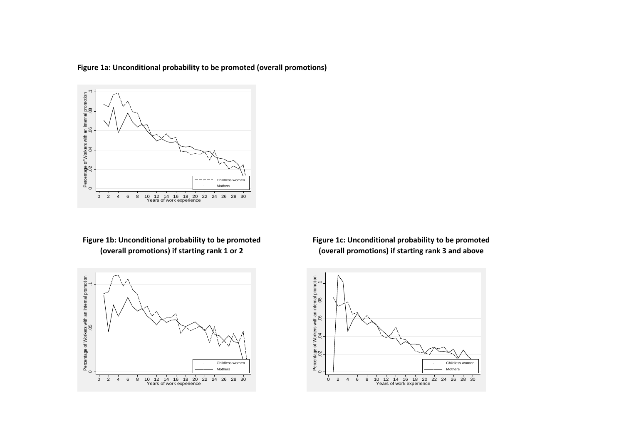**Figure 1a: Unconditional probability to be promoted (overall promotions)**



**Figure 1b: Unconditional probability to be promoted (overall promotions) if starting rank 1 or 2**